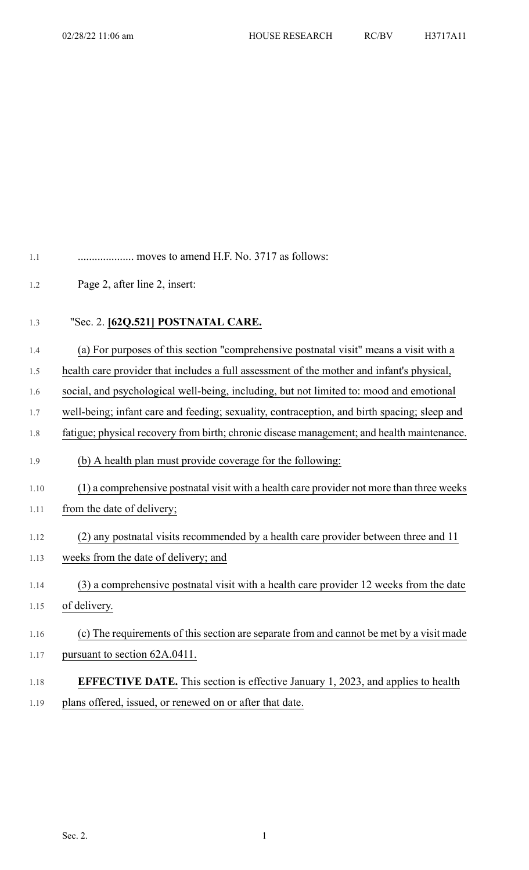- 1.1 .................... moves to amend H.F. No. 3717 as follows:
- 1.2 Page 2, after line 2, insert:
- 1.3 "Sec. 2. **[62Q.521] POSTNATAL CARE.**
- 1.4 (a) For purposes of this section "comprehensive postnatal visit" means a visit with a
- 1.5 health care provider that includes a full assessment of the mother and infant's physical,
- 1.6 social, and psychological well-being, including, but not limited to: mood and emotional
- 1.7 well-being; infant care and feeding; sexuality, contraception, and birth spacing; sleep and
- 1.8 fatigue; physical recovery from birth; chronic disease management; and health maintenance.
- 1.9 (b) A health plan must provide coverage for the following:
- 1.10 (1) a comprehensive postnatal visit with a health care provider not more than three weeks 1.11 from the date of delivery;
- 1.12 (2) any postnatal visits recommended by a health care provider between three and 11
- 1.13 weeks from the date of delivery; and
- 1.14 (3) a comprehensive postnatal visit with a health care provider 12 weeks from the date 1.15 of delivery.
- 1.16 (c) The requirements of this section are separate from and cannot be met by a visit made 1.17 pursuant to section 62A.0411.
- 1.18 **EFFECTIVE DATE.** This section is effective January 1, 2023, and applies to health 1.19 plans offered, issued, or renewed on or after that date.